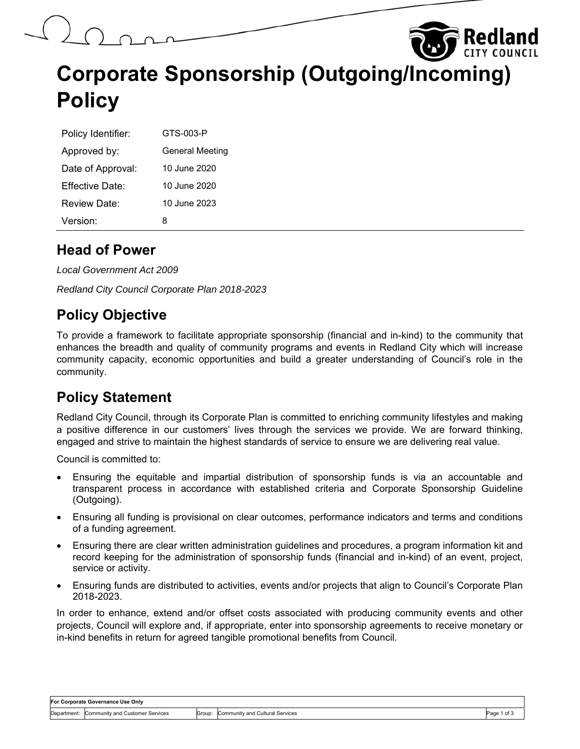# **Corporate Sponsorship (Outgoing/Incoming) Policy**

| Policy Identifier: | GTS-003-P              |
|--------------------|------------------------|
| Approved by:       | <b>General Meeting</b> |
| Date of Approval:  | 10 June 2020           |
| Fffective Date:    | 10 June 2020           |
| Review Date:       | 10 June 2023           |
| Version:           | 8                      |

#### **Head of Power**

*Local Government Act 2009* 

*Redland City Council Corporate Plan 2018-2023* 

#### **Policy Objective**

To provide a framework to facilitate appropriate sponsorship (financial and in-kind) to the community that enhances the breadth and quality of community programs and events in Redland City which will increase community capacity, economic opportunities and build a greater understanding of Council's role in the community.

#### **Policy Statement**

Redland City Council, through its Corporate Plan is committed to enriching community lifestyles and making a positive difference in our customers' lives through the services we provide. We are forward thinking, engaged and strive to maintain the highest standards of service to ensure we are delivering real value.

Council is committed to:

- Ensuring the equitable and impartial distribution of sponsorship funds is via an accountable and transparent process in accordance with established criteria and Corporate Sponsorship Guideline (Outgoing).
- Ensuring all funding is provisional on clear outcomes, performance indicators and terms and conditions of a funding agreement.
- Ensuring there are clear written administration guidelines and procedures, a program information kit and record keeping for the administration of sponsorship funds (financial and in-kind) of an event, project, service or activity.
- Ensuring funds are distributed to activities, events and/or projects that align to Council's Corporate Plan 2018-2023.

In order to enhance, extend and/or offset costs associated with producing community events and other projects, Council will explore and, if appropriate, enter into sponsorship agreements to receive monetary or in-kind benefits in return for agreed tangible promotional benefits from Council.

Redland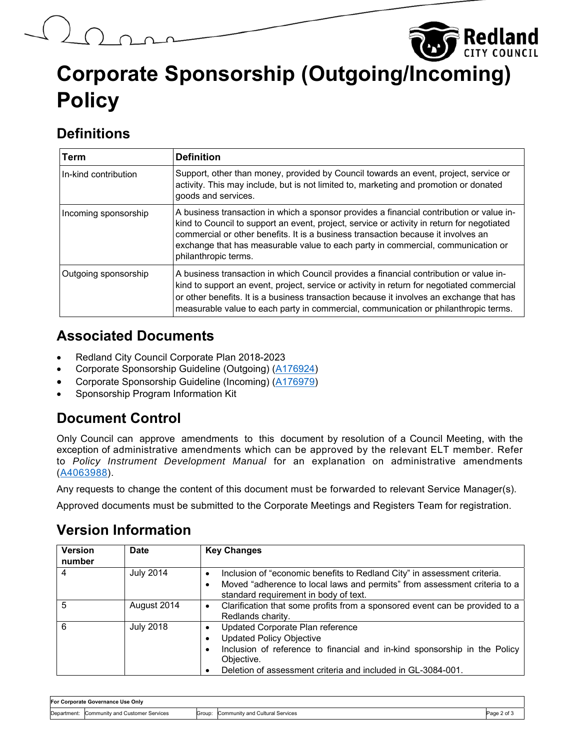# **Corporate Sponsorship (Outgoing/Incoming) Policy**

Redland

### **Definitions**

| Term                 | <b>Definition</b>                                                                                                                                                                                                                                                                                                                                                                       |
|----------------------|-----------------------------------------------------------------------------------------------------------------------------------------------------------------------------------------------------------------------------------------------------------------------------------------------------------------------------------------------------------------------------------------|
| In-kind contribution | Support, other than money, provided by Council towards an event, project, service or<br>activity. This may include, but is not limited to, marketing and promotion or donated<br>goods and services.                                                                                                                                                                                    |
| Incoming sponsorship | A business transaction in which a sponsor provides a financial contribution or value in-<br>kind to Council to support an event, project, service or activity in return for negotiated<br>commercial or other benefits. It is a business transaction because it involves an<br>exchange that has measurable value to each party in commercial, communication or<br>philanthropic terms. |
| Outgoing sponsorship | A business transaction in which Council provides a financial contribution or value in-<br>kind to support an event, project, service or activity in return for negotiated commercial<br>or other benefits. It is a business transaction because it involves an exchange that has<br>measurable value to each party in commercial, communication or philanthropic terms.                 |

#### **Associated Documents**

- Redland City Council Corporate Plan 2018-2023
- Corporate Sponsorship Guideline (Outgoing) (A176924)
- Corporate Sponsorship Guideline (Incoming) (A176979)
- Sponsorship Program Information Kit

#### **Document Control**

Only Council can approve amendments to this document by resolution of a Council Meeting, with the exception of administrative amendments which can be approved by the relevant ELT member. Refer to *Policy Instrument Development Manual* for an explanation on administrative amendments (A4063988).

Any requests to change the content of this document must be forwarded to relevant Service Manager(s).

Approved documents must be submitted to the Corporate Meetings and Registers Team for registration.

#### **Version Information**

| <b>Version</b><br>number | <b>Date</b>      | <b>Key Changes</b>                                                                                                                                                                                                                          |
|--------------------------|------------------|---------------------------------------------------------------------------------------------------------------------------------------------------------------------------------------------------------------------------------------------|
| 4                        | <b>July 2014</b> | Inclusion of "economic benefits to Redland City" in assessment criteria.<br>Moved "adherence to local laws and permits" from assessment criteria to a<br>$\bullet$<br>standard requirement in body of text.                                 |
| 5                        | August 2014      | Clarification that some profits from a sponsored event can be provided to a<br>$\bullet$<br>Redlands charity.                                                                                                                               |
| 6                        | <b>July 2018</b> | Updated Corporate Plan reference<br><b>Updated Policy Objective</b><br>Inclusion of reference to financial and in-kind sponsorship in the Policy<br>$\bullet$<br>Objective.<br>Deletion of assessment criteria and included in GL-3084-001. |

| For Corporate Governance Use Only |                                 |        |                                 |           |
|-----------------------------------|---------------------------------|--------|---------------------------------|-----------|
| Department:                       | Community and Customer Services | Group: | Community and Cultural Services | Page 2 of |